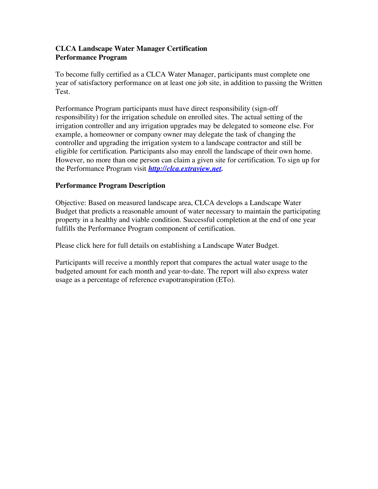# **CLCA Landscape Water Manager Certification Performance Program**

To become fully certified as a CLCA Water Manager, participants must complete one year of satisfactory performance on at least one job site, in addition to passing the Written Test.

Performance Program participants must have direct responsibility (sign-off responsibility) for the irrigation schedule on enrolled sites. The actual setting of the irrigation controller and any irrigation upgrades may be delegated to someone else. For example, a homeowner or company owner may delegate the task of changing the controller and upgrading the irrigation system to a landscape contractor and still be eligible for certification. Participants also may enroll the landscape of their own home. However, no more than one person can claim a given site for certification. To sign up for the Performance Program visit *http://clca.extraview.net.* 

#### **Performance Program Description**

Objective: Based on measured landscape area, CLCA develops a Landscape Water Budget that predicts a reasonable amount of water necessary to maintain the participating property in a healthy and viable condition. Successful completion at the end of one year fulfills the Performance Program component of certification.

Please click here for full details on establishing a Landscape Water Budget.

Participants will receive a monthly report that compares the actual water usage to the budgeted amount for each month and year-to-date. The report will also express water usage as a percentage of reference evapotranspiration (ETo).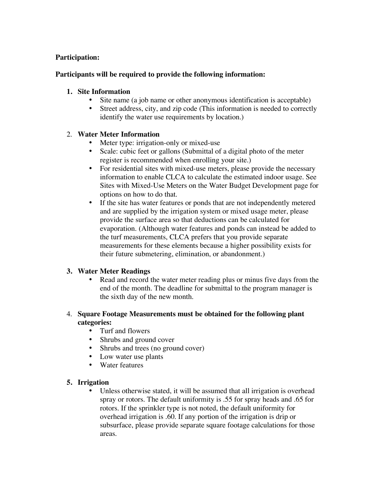## **Participation:**

## **Participants will be required to provide the following information:**

## **1. Site Information**

- Site name (a job name or other anonymous identification is acceptable)
- Street address, city, and zip code (This information is needed to correctly identify the water use requirements by location.)

# 2. **Water Meter Information**

- Meter type: irrigation-only or mixed-use
- Scale: cubic feet or gallons (Submittal of a digital photo of the meter register is recommended when enrolling your site.)
- For residential sites with mixed-use meters, please provide the necessary information to enable CLCA to calculate the estimated indoor usage. See Sites with Mixed-Use Meters on the Water Budget Development page for options on how to do that.
- If the site has water features or ponds that are not independently metered and are supplied by the irrigation system or mixed usage meter, please provide the surface area so that deductions can be calculated for evaporation. (Although water features and ponds can instead be added to the turf measurements, CLCA prefers that you provide separate measurements for these elements because a higher possibility exists for their future submetering, elimination, or abandonment.)

## **3. Water Meter Readings**

Read and record the water meter reading plus or minus five days from the end of the month. The deadline for submittal to the program manager is the sixth day of the new month.

# 4. **Square Footage Measurements must be obtained for the following plant categories:**

- Turf and flowers
- Shrubs and ground cover
- Shrubs and trees (no ground cover)
- Low water use plants
- Water features

## **5. Irrigation**

Unless otherwise stated, it will be assumed that all irrigation is overhead spray or rotors. The default uniformity is .55 for spray heads and .65 for rotors. If the sprinkler type is not noted, the default uniformity for overhead irrigation is .60. If any portion of the irrigation is drip or subsurface, please provide separate square footage calculations for those areas.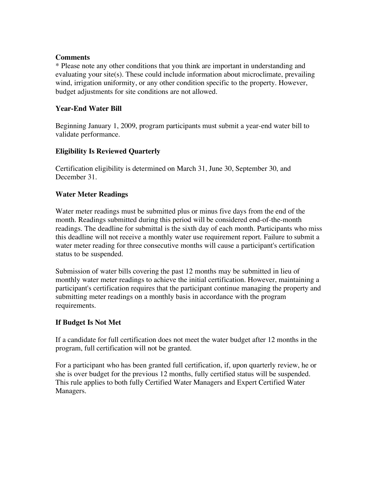#### **Comments**

\* Please note any other conditions that you think are important in understanding and evaluating your site(s). These could include information about microclimate, prevailing wind, irrigation uniformity, or any other condition specific to the property. However, budget adjustments for site conditions are not allowed.

## **Year-End Water Bill**

Beginning January 1, 2009, program participants must submit a year-end water bill to validate performance.

# **Eligibility Is Reviewed Quarterly**

Certification eligibility is determined on March 31, June 30, September 30, and December 31.

## **Water Meter Readings**

Water meter readings must be submitted plus or minus five days from the end of the month. Readings submitted during this period will be considered end-of-the-month readings. The deadline for submittal is the sixth day of each month. Participants who miss this deadline will not receive a monthly water use requirement report. Failure to submit a water meter reading for three consecutive months will cause a participant's certification status to be suspended.

Submission of water bills covering the past 12 months may be submitted in lieu of monthly water meter readings to achieve the initial certification. However, maintaining a participant's certification requires that the participant continue managing the property and submitting meter readings on a monthly basis in accordance with the program requirements.

## **If Budget Is Not Met**

If a candidate for full certification does not meet the water budget after 12 months in the program, full certification will not be granted.

For a participant who has been granted full certification, if, upon quarterly review, he or she is over budget for the previous 12 months, fully certified status will be suspended. This rule applies to both fully Certified Water Managers and Expert Certified Water Managers.